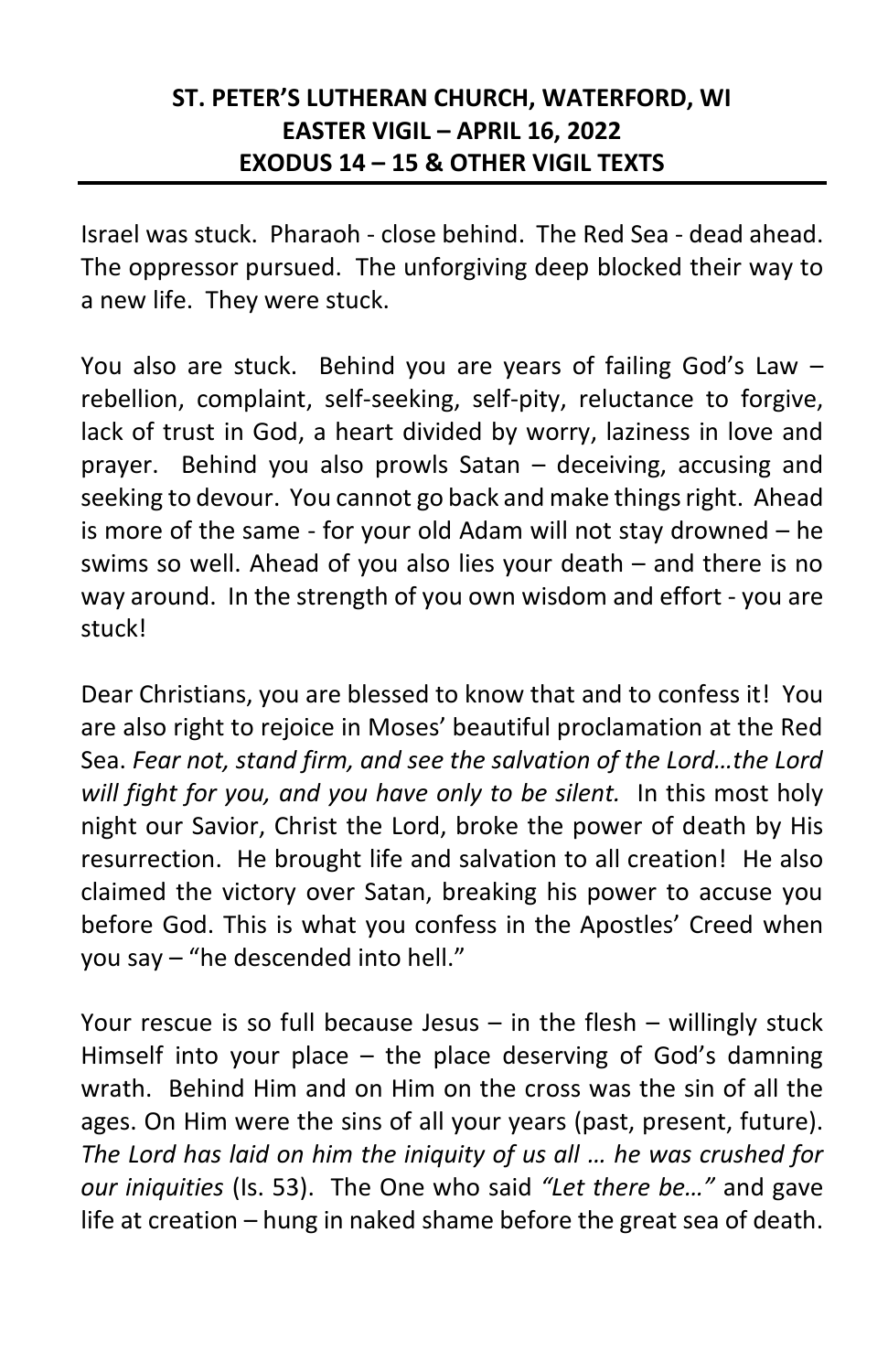## **ST. PETER'S LUTHERAN CHURCH, WATERFORD, WI EASTER VIGIL – APRIL 16, 2022 EXODUS 14 – 15 & OTHER VIGIL TEXTS**

Israel was stuck. Pharaoh - close behind. The Red Sea - dead ahead. The oppressor pursued. The unforgiving deep blocked their way to a new life. They were stuck.

You also are stuck. Behind you are years of failing God's Law – rebellion, complaint, self-seeking, self-pity, reluctance to forgive, lack of trust in God, a heart divided by worry, laziness in love and prayer. Behind you also prowls Satan – deceiving, accusing and seeking to devour. You cannot go back and make things right. Ahead is more of the same - for your old Adam will not stay drowned – he swims so well. Ahead of you also lies your death – and there is no way around. In the strength of you own wisdom and effort - you are stuck!

Dear Christians, you are blessed to know that and to confess it! You are also right to rejoice in Moses' beautiful proclamation at the Red Sea. *Fear not, stand firm, and see the salvation of the Lord…the Lord will fight for you, and you have only to be silent.* In this most holy night our Savior, Christ the Lord, broke the power of death by His resurrection. He brought life and salvation to all creation! He also claimed the victory over Satan, breaking his power to accuse you before God. This is what you confess in the Apostles' Creed when you say – "he descended into hell."

Your rescue is so full because Jesus – in the flesh – willingly stuck Himself into your place – the place deserving of God's damning wrath. Behind Him and on Him on the cross was the sin of all the ages. On Him were the sins of all your years (past, present, future). *The Lord has laid on him the iniquity of us all … he was crushed for our iniquities* (Is. 53). The One who said *"Let there be…"* and gave life at creation – hung in naked shame before the great sea of death.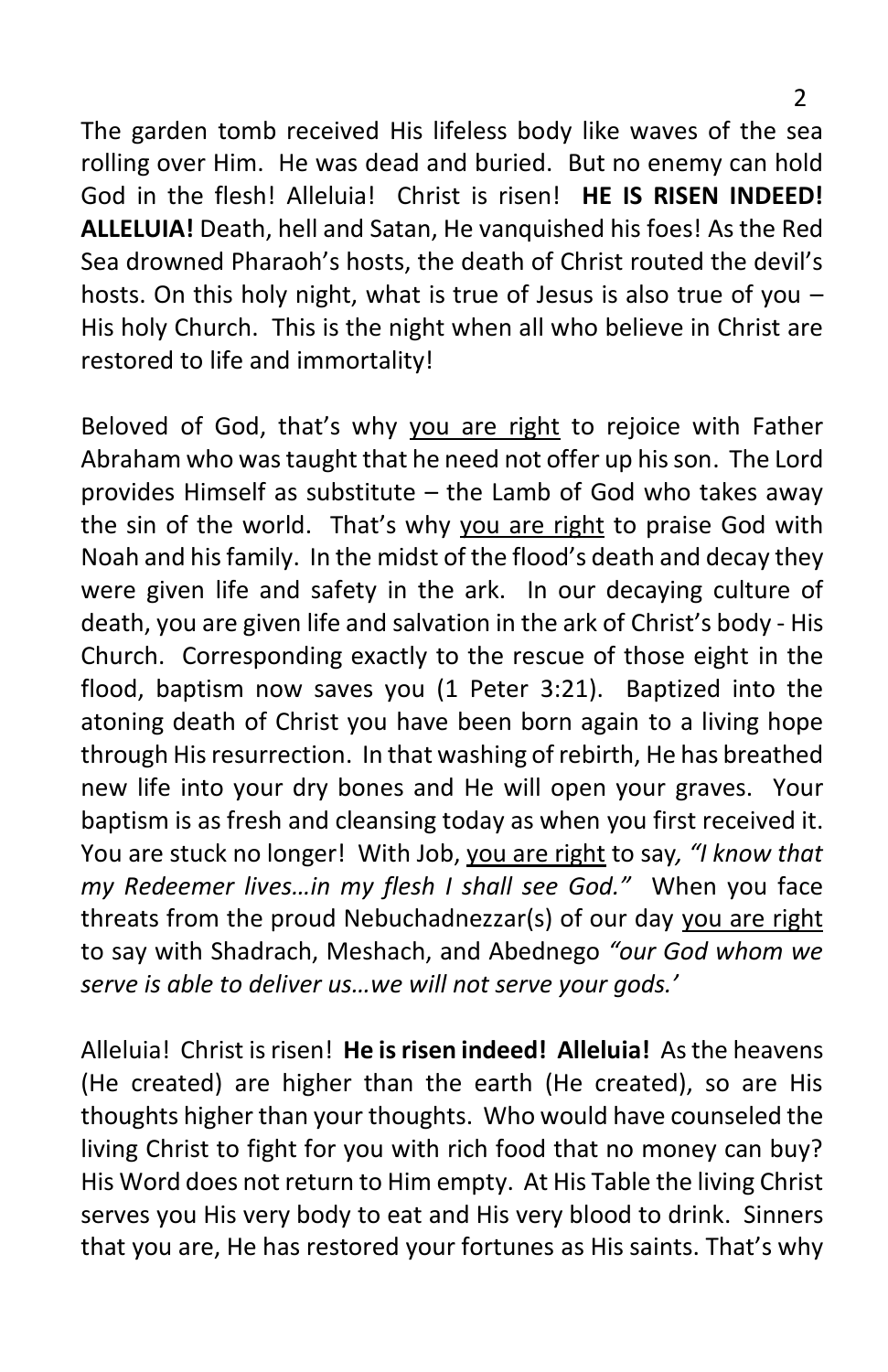The garden tomb received His lifeless body like waves of the sea rolling over Him. He was dead and buried. But no enemy can hold God in the flesh! Alleluia! Christ is risen! **HE IS RISEN INDEED! ALLELUIA!** Death, hell and Satan, He vanquished his foes! As the Red Sea drowned Pharaoh's hosts, the death of Christ routed the devil's hosts. On this holy night, what is true of Jesus is also true of you – His holy Church. This is the night when all who believe in Christ are restored to life and immortality!

Beloved of God, that's why you are right to rejoice with Father Abraham who was taught that he need not offer up his son. The Lord provides Himself as substitute – the Lamb of God who takes away the sin of the world. That's why you are right to praise God with Noah and his family. In the midst of the flood's death and decay they were given life and safety in the ark. In our decaying culture of death, you are given life and salvation in the ark of Christ's body - His Church. Corresponding exactly to the rescue of those eight in the flood, baptism now saves you (1 Peter 3:21). Baptized into the atoning death of Christ you have been born again to a living hope through His resurrection. In that washing of rebirth, He has breathed new life into your dry bones and He will open your graves. Your baptism is as fresh and cleansing today as when you first received it. You are stuck no longer! With Job, you are right to say*, "I know that my Redeemer lives…in my flesh I shall see God."* When you face threats from the proud Nebuchadnezzar(s) of our day you are right to say with Shadrach, Meshach, and Abednego *"our God whom we serve is able to deliver us…we will not serve your gods.'*

Alleluia! Christ is risen! **He is risen indeed! Alleluia!** As the heavens (He created) are higher than the earth (He created), so are His thoughts higher than your thoughts. Who would have counseled the living Christ to fight for you with rich food that no money can buy? His Word does not return to Him empty. At His Table the living Christ serves you His very body to eat and His very blood to drink. Sinners that you are, He has restored your fortunes as His saints. That's why